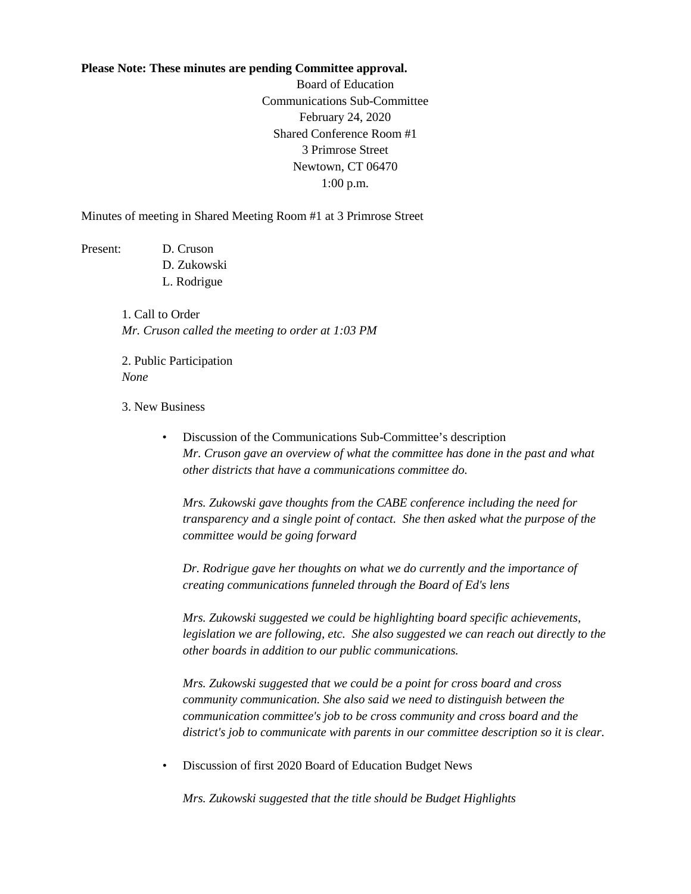## **Please Note: These minutes are pending Committee approval.**

Board of Education Communications Sub-Committee February 24, 2020 Shared Conference Room #1 3 Primrose Street Newtown, CT 06470 1:00 p.m.

Minutes of meeting in Shared Meeting Room #1 at 3 Primrose Street

Present: D. Cruson

D. Zukowski L. Rodrigue

1. Call to Order *Mr. Cruson called the meeting to order at 1:03 PM*

2. Public Participation *None*

3. New Business

• Discussion of the Communications Sub-Committee's description *Mr. Cruson gave an overview of what the committee has done in the past and what other districts that have a communications committee do.*

*Mrs. Zukowski gave thoughts from the CABE conference including the need for transparency and a single point of contact. She then asked what the purpose of the committee would be going forward*

*Dr. Rodrigue gave her thoughts on what we do currently and the importance of creating communications funneled through the Board of Ed's lens*

*Mrs. Zukowski suggested we could be highlighting board specific achievements, legislation we are following, etc. She also suggested we can reach out directly to the other boards in addition to our public communications.*

*Mrs. Zukowski suggested that we could be a point for cross board and cross community communication. She also said we need to distinguish between the communication committee's job to be cross community and cross board and the district's job to communicate with parents in our committee description so it is clear.*

• Discussion of first 2020 Board of Education Budget News

*Mrs. Zukowski suggested that the title should be Budget Highlights*